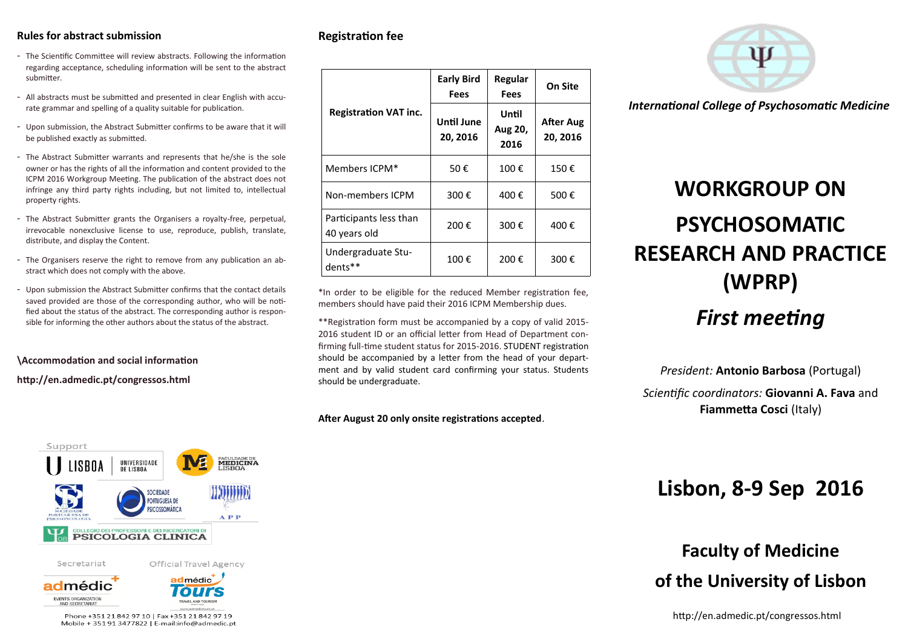### **Rules for abstract submission**

- The Scientific Committee will review abstracts. Following the information regarding acceptance, scheduling information will be sent to the abstract submitter.
- All abstracts must be submitted and presented in clear English with accurate grammar and spelling of a quality suitable for publication.
- Upon submission, the Abstract Submitter confirms to be aware that it will be published exactly as submitted.
- The Abstract Submitter warrants and represents that he/she is the sole owner or has the rights of all the information and content provided to the ICPM 2016 Workgroup Meeting. The publication of the abstract does not infringe any third party rights including, but not limited to, intellectual property rights.
- The Abstract Submitter grants the Organisers a royalty-free, perpetual, irrevocable nonexclusive license to use, reproduce, publish, translate, distribute, and display the Content.
- The Organisers reserve the right to remove from any publication an abstract which does not comply with the above.
- Upon submission the Abstract Submitter confirms that the contact details saved provided are those of the corresponding author, who will be notified about the status of the abstract. The corresponding author is responsible for informing the other authors about the status of the abstract.

### **\Accommodation and social information**

**http://en.admedic.pt/congressos.html** 



### **Registration fee**

|                                        | <b>Early Bird</b><br>Fees | Regular<br><b>Fees</b>   | On Site                      |
|----------------------------------------|---------------------------|--------------------------|------------------------------|
| <b>Registration VAT inc.</b>           | Until June<br>20, 2016    | Until<br>Aug 20,<br>2016 | <b>After Aug</b><br>20, 2016 |
| Members ICPM*                          | 50€                       | 100€                     | 150€                         |
| Non-members ICPM                       | 300€                      | 400€                     | 500€                         |
| Participants less than<br>40 years old | 200€                      | 300€                     | 400€                         |
| Undergraduate Stu-<br>dents**          | 100€                      | 200€                     | 300€                         |

\*In order to be eligible for the reduced Member registration fee, members should have paid their 2016 ICPM Membership dues.

\*\*Registration form must be accompanied by a copy of valid 2015- 2016 student ID or an official letter from Head of Department confirming full-time student status for 2015-2016. STUDENT registration should be accompanied by a letter from the head of your department and by valid student card confirming your status. Students should be undergraduate.

**After August 20 only onsite registrations accepted**.



*International College of Psychosomatic Medicine*

# **WORKGROUP ON PSYCHOSOMATIC RESEARCH AND PRACTICE (WPRP)**

### *First meeting*

*President:* **Antonio Barbosa** (Portugal)

*Scientific coordinators:* **Giovanni A. Fava** and **Fiammetta Cosci** (Italy)

### **Lisbon, 8-9 Sep 2016**

## **Faculty of Medicine of the University of Lisbon**

http://en.admedic.pt/congressos.html